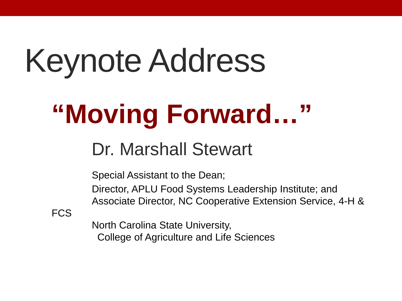# Keynote Address

## **"Moving Forward…"**

#### Dr. Marshall Stewart

Special Assistant to the Dean;

Director, APLU Food Systems Leadership Institute; and Associate Director, NC Cooperative Extension Service, 4-H &

**FCS** 

North Carolina State University, College of Agriculture and Life Sciences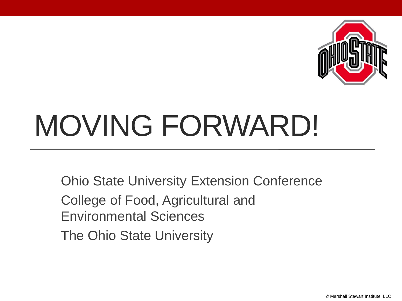

## MOVING FORWARD!

Ohio State University Extension Conference

College of Food, Agricultural and Environmental Sciences

The Ohio State University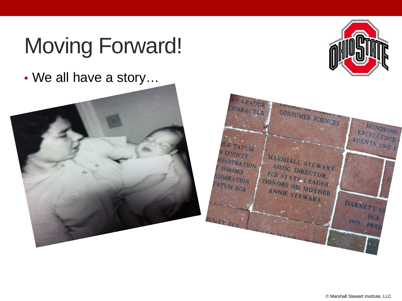• We all have a story…





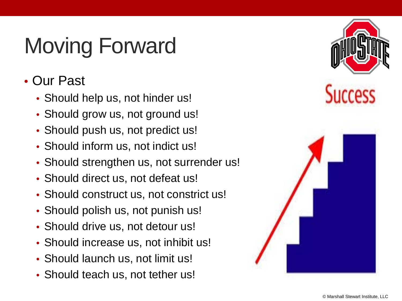- Our Past
	- Should help us, not hinder us!
	- Should grow us, not ground us!
	- Should push us, not predict us!
	- Should inform us, not indict us!
	- Should strengthen us, not surrender us!
	- Should direct us, not defeat us!
	- Should construct us, not constrict us!
	- Should polish us, not punish us!
	- Should drive us, not detour us!
	- Should increase us, not inhibit us!
	- Should launch us, not limit us!
	- Should teach us, not tether us!

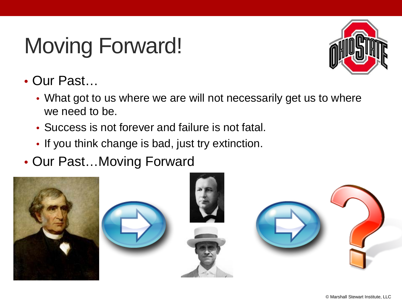

- Our Past…
	- What got to us where we are will not necessarily get us to where we need to be.
	- Success is not forever and failure is not fatal.
	- If you think change is bad, just try extinction.
- Our Past…Moving Forward

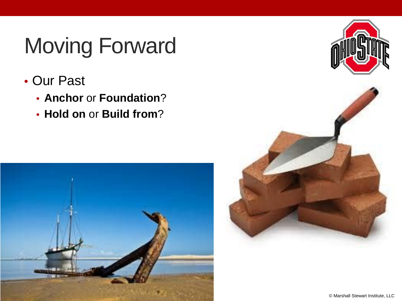- Our Past
	- **Anchor** or **Foundation**?
	- **Hold on** or **Build from**?





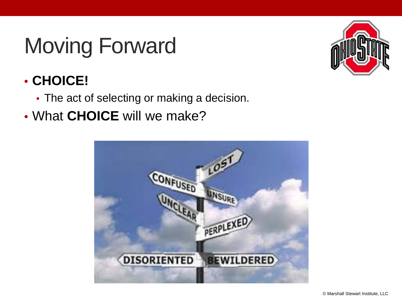

#### • **CHOICE!**

- The act of selecting or making a decision.
- What **CHOICE** will we make?

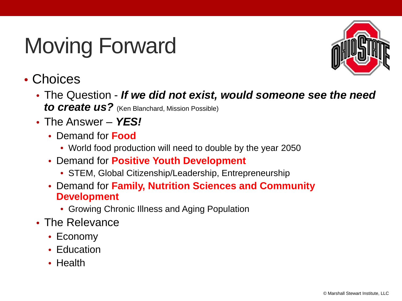

#### • Choices

- The Question *If we did not exist, would someone see the need to create us?* (Ken Blanchard, Mission Possible)
- The Answer *YES!*
	- Demand for **Food**
		- World food production will need to double by the year 2050
	- Demand for **Positive Youth Development**
		- STEM, Global Citizenship/Leadership, Entrepreneurship
	- Demand for **Family, Nutrition Sciences and Community Development**
		- Growing Chronic Illness and Aging Population
- The Relevance
	- Economy
	- Education
	- Health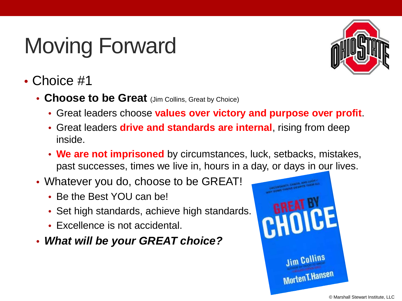

- Choice #1
	- **Choose to be Great** (Jim Collins, Great by Choice)
		- Great leaders choose **values over victory and purpose over profit**.
		- Great leaders **drive and standards are internal**, rising from deep inside.
		- **We are not imprisoned** by circumstances, luck, setbacks, mistakes, past successes, times we live in, hours in a day, or days in our lives.
	- Whatever you do, choose to be GREAT!
		- Be the Best YOU can be!
		- Set high standards, achieve high standards.
		- Excellence is not accidental.
	- *What will be your GREAT choice?*

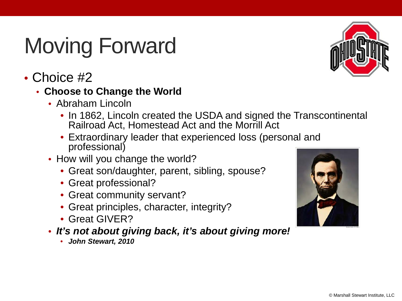

• Choice #2

#### • **Choose to Change the World**

- Abraham Lincoln
	- In 1862, Lincoln created the USDA and signed the Transcontinental Railroad Act, Homestead Act and the Morrill Act
	- Extraordinary leader that experienced loss (personal and professional)
- How will you change the world?
	- Great son/daughter, parent, sibling, spouse?
	- Great professional?
	- Great community servant?
	- Great principles, character, integrity?
	- Great GIVER?
- *It's not about giving back, it's about giving more!* 
	- *John Stewart, 2010*

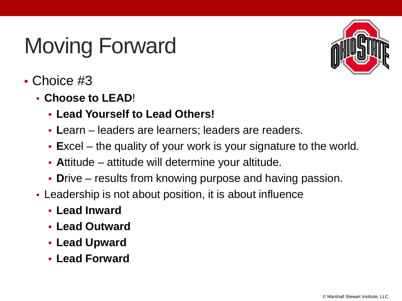

- Choice #3
	- **Choose to LEAD**!
		- **Lead Yourself to Lead Others!**
		- **L**earn leaders are learners; leaders are readers.
		- **E**xcel the quality of your work is your signature to the world.
		- **A**ttitude attitude will determine your altitude.
		- **D**rive results from knowing purpose and having passion.
	- Leadership is not about position, it is about influence
		- **Lead Inward**
		- **Lead Outward**
		- **Lead Upward**
		- **Lead Forward**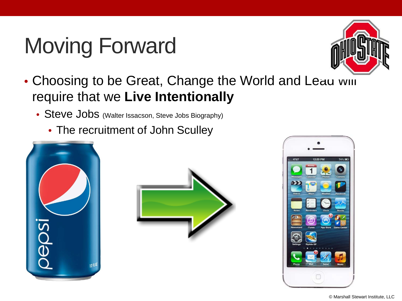

- Choosing to be Great, Change the World and Leau will require that we **Live Intentionally**
	- Steve Jobs (Walter Issacson, Steve Jobs Biography)
		- The recruitment of John Sculley





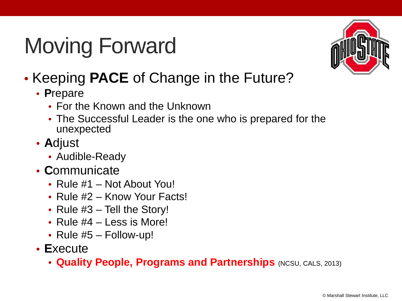

- Keeping **PACE** of Change in the Future?
	- **P**repare
		- For the Known and the Unknown
		- The Successful Leader is the one who is prepared for the unexpected
	- **A**djust
		- Audible-Ready
	- **C**ommunicate
		- Rule #1 Not About You!
		- Rule #2 Know Your Facts!
		- Rule #3 Tell the Story!
		- Rule #4 Less is More!
		- Rule #5 Follow-up!
	- **E**xecute
		- **Quality People, Programs and Partnerships** (NCSU, CALS, 2013)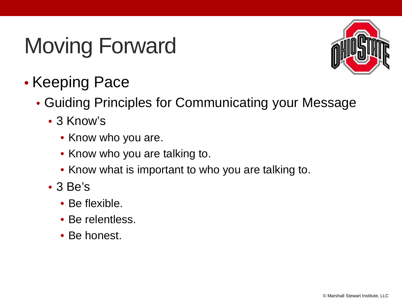

- Keeping Pace
	- Guiding Principles for Communicating your Message
		- 3 Know's
			- Know who you are.
			- Know who you are talking to.
			- Know what is important to who you are talking to.
		- 3 Be's
			- Be flexible.
			- Be relentless.
			- Be honest.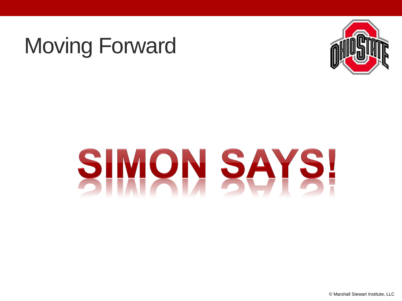

# SIMON SAYS!

© Marshall Stewart Institute, LLC